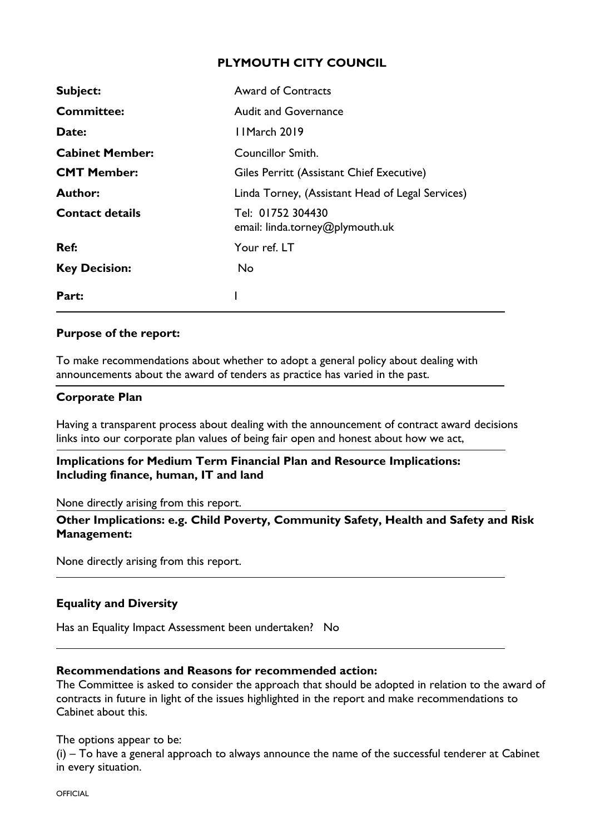## **PLYMOUTH CITY COUNCIL**

| Subject:               | <b>Award of Contracts</b>                            |
|------------------------|------------------------------------------------------|
| <b>Committee:</b>      | <b>Audit and Governance</b>                          |
| Date:                  | 11 March 2019                                        |
| <b>Cabinet Member:</b> | Councillor Smith.                                    |
| <b>CMT Member:</b>     | Giles Perritt (Assistant Chief Executive)            |
| <b>Author:</b>         | Linda Torney, (Assistant Head of Legal Services)     |
| <b>Contact details</b> | Tel: 01752 304430<br>email: linda.torney@plymouth.uk |
| Ref:                   | Your ref. LT                                         |
| <b>Key Decision:</b>   | <b>No</b>                                            |
| Part:                  |                                                      |

## **Purpose of the report:**

To make recommendations about whether to adopt a general policy about dealing with announcements about the award of tenders as practice has varied in the past.

#### **Corporate Plan**

Having a transparent process about dealing with the announcement of contract award decisions links into our corporate plan values of being fair open and honest about how we act,

### **Implications for Medium Term Financial Plan and Resource Implications: Including finance, human, IT and land**

None directly arising from this report.

**Other Implications: e.g. Child Poverty, Community Safety, Health and Safety and Risk Management:**

None directly arising from this report.

#### **Equality and Diversity**

Has an Equality Impact Assessment been undertaken? No

### **Recommendations and Reasons for recommended action:**

The Committee is asked to consider the approach that should be adopted in relation to the award of contracts in future in light of the issues highlighted in the report and make recommendations to Cabinet about this.

The options appear to be:

(i) – To have a general approach to always announce the name of the successful tenderer at Cabinet in every situation.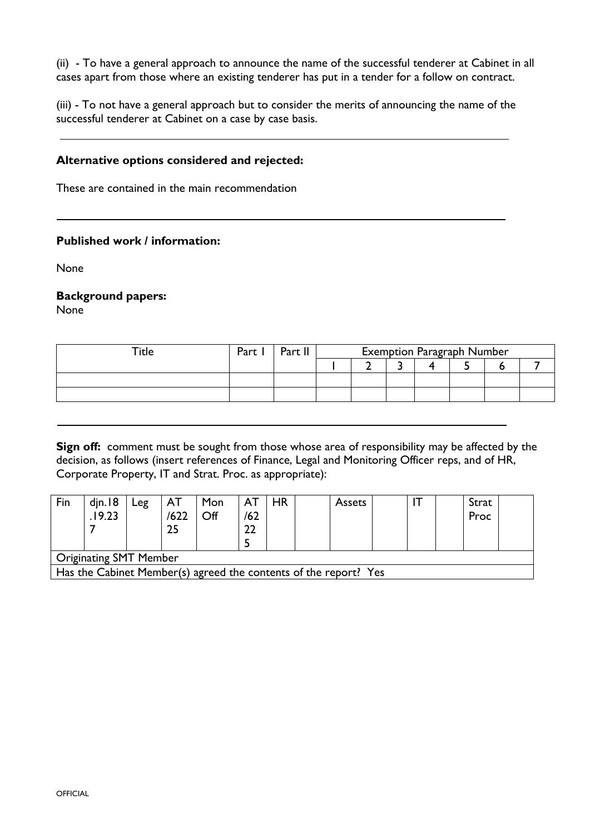(ii) - To have a general approach to announce the name of the successful tenderer at Cabinet in all cases apart from those where an existing tenderer has put in a tender for a follow on contract.

(iii) - To not have a general approach but to consider the merits of announcing the name of the successful tenderer at Cabinet on a case by case basis.

#### **Alternative options considered and rejected:**

These are contained in the main recommendation

#### **Published work / information:**

None

#### **Background papers:**

None

| Title | Part | Part II | <b>Exemption Paragraph Number</b> |  |  |  |  |  |  |
|-------|------|---------|-----------------------------------|--|--|--|--|--|--|
|       |      |         |                                   |  |  |  |  |  |  |
|       |      |         |                                   |  |  |  |  |  |  |
|       |      |         |                                   |  |  |  |  |  |  |

**Sign off:** comment must be sought from those whose area of responsibility may be affected by the decision, as follows (insert references of Finance, Legal and Monitoring Officer reps, and of HR, Corporate Property, IT and Strat. Proc. as appropriate):

| Fin                                                              | din.18<br>.19.23 | Leg | ΑI<br>/622<br>25 | Mon<br>Off | ΑT<br>/62 | HR | <b>Assets</b> |  |  | Strat<br>Proc |  |
|------------------------------------------------------------------|------------------|-----|------------------|------------|-----------|----|---------------|--|--|---------------|--|
| <b>Originating SMT Member</b>                                    |                  |     |                  |            |           |    |               |  |  |               |  |
| Has the Cabinet Member(s) agreed the contents of the report? Yes |                  |     |                  |            |           |    |               |  |  |               |  |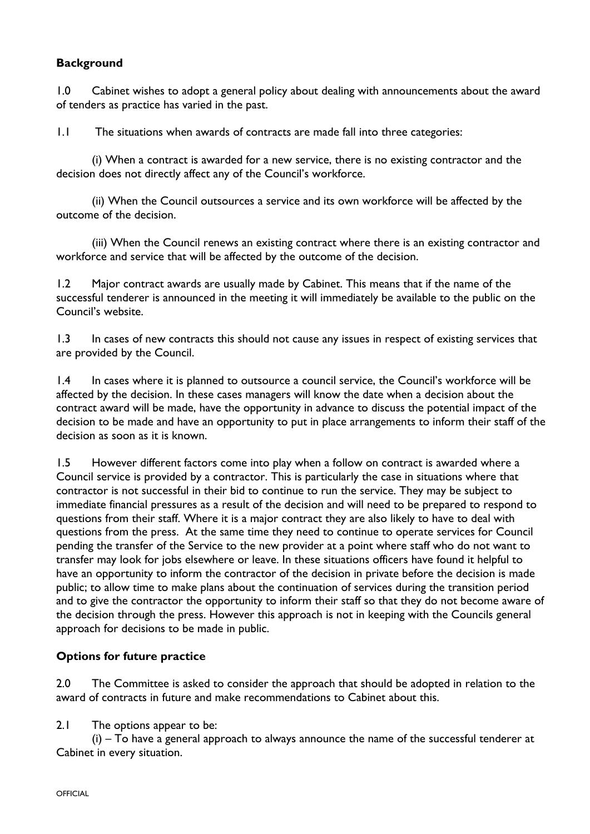# **Background**

1.0 Cabinet wishes to adopt a general policy about dealing with announcements about the award of tenders as practice has varied in the past.

1.1 The situations when awards of contracts are made fall into three categories:

(i) When a contract is awarded for a new service, there is no existing contractor and the decision does not directly affect any of the Council's workforce.

(ii) When the Council outsources a service and its own workforce will be affected by the outcome of the decision.

(iii) When the Council renews an existing contract where there is an existing contractor and workforce and service that will be affected by the outcome of the decision.

1.2 Major contract awards are usually made by Cabinet. This means that if the name of the successful tenderer is announced in the meeting it will immediately be available to the public on the Council's website.

1.3 In cases of new contracts this should not cause any issues in respect of existing services that are provided by the Council.

1.4 In cases where it is planned to outsource a council service, the Council's workforce will be affected by the decision. In these cases managers will know the date when a decision about the contract award will be made, have the opportunity in advance to discuss the potential impact of the decision to be made and have an opportunity to put in place arrangements to inform their staff of the decision as soon as it is known.

1.5 However different factors come into play when a follow on contract is awarded where a Council service is provided by a contractor. This is particularly the case in situations where that contractor is not successful in their bid to continue to run the service. They may be subject to immediate financial pressures as a result of the decision and will need to be prepared to respond to questions from their staff. Where it is a major contract they are also likely to have to deal with questions from the press. At the same time they need to continue to operate services for Council pending the transfer of the Service to the new provider at a point where staff who do not want to transfer may look for jobs elsewhere or leave. In these situations officers have found it helpful to have an opportunity to inform the contractor of the decision in private before the decision is made public; to allow time to make plans about the continuation of services during the transition period and to give the contractor the opportunity to inform their staff so that they do not become aware of the decision through the press. However this approach is not in keeping with the Councils general approach for decisions to be made in public.

# **Options for future practice**

2.0 The Committee is asked to consider the approach that should be adopted in relation to the award of contracts in future and make recommendations to Cabinet about this.

#### 2.1 The options appear to be:

(i) – To have a general approach to always announce the name of the successful tenderer at Cabinet in every situation.